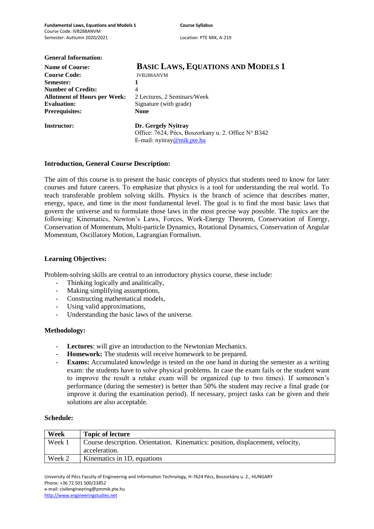| <b>General Information:</b>         |                                                     |  |  |  |  |
|-------------------------------------|-----------------------------------------------------|--|--|--|--|
| <b>Name of Course:</b>              | <b>BASIC LAWS, EQUATIONS AND MODELS 1</b>           |  |  |  |  |
| <b>Course Code:</b>                 | IVB288ANVM                                          |  |  |  |  |
| <b>Semester:</b>                    |                                                     |  |  |  |  |
| <b>Number of Credits:</b>           | 4<br>2 Lectures, 2 Seminars/Week                    |  |  |  |  |
| <b>Allotment of Hours per Week:</b> |                                                     |  |  |  |  |
| <b>Evaluation:</b>                  | Signature (with grade)                              |  |  |  |  |
| <b>Prerequisites:</b>               | <b>None</b>                                         |  |  |  |  |
| <b>Instructor:</b>                  | Dr. Gergely Nyitray                                 |  |  |  |  |
|                                     | Office: 7624, Pécs, Boszorkany u. 2. Office Nº B342 |  |  |  |  |
|                                     | E-mail: nyitray@mik.pte.hu                          |  |  |  |  |

## **Introduction, General Course Description:**

The aim of this course is to present the basic concepts of physics that students need to know for later courses and future careers. To emphasize that physics is a tool for understanding the real world. To teach transferable problem solving skills. Physics is the branch of science that describes matter, energy, space, and time in the most fundamental level. The goal is to find the most basic laws that govern the universe and to formulate those laws in the most precise way possible. The topics are the following: Kinematics, Newton's Laws, Forces, Work-Energy Theorem, Conservation of Energy, Conservation of Momentum, Multi-particle Dynamics, Rotational Dynamics, Conservation of Angular Momentum, Oscillatory Motion, Lagrangian Formalism.

#### **Learning Objectives:**

Problem-solving skills are central to an introductory physics course, these include:

- Thinking logically and analitically,
- Making simplifying assumptions,
- Constructing mathematical models,
- Using valid approximations.
- Understanding the basic laws of the universe.

#### **Methodology:**

- **Lectures**: will give an introduction to the Newtonian Mechanics.
- **Homework:** The students will receive homework to be prepared.
- **Exams:** Accumulated knowledge is tested on the one hand in during the semester as a writing exam: the students have to solve physical problems. In case the exam fails or the student want to improve the result a retake exam will be organized (up to two times). If someonen's performance (during the semester) is better than 50% the student may recive a final grade (or improve it during the examination period). If necessary, project tasks can be given and their solutions are also acceptable.

#### **Schedule:**

| Week   | <b>Topic of lecture</b>                                                                         |
|--------|-------------------------------------------------------------------------------------------------|
| Week 1 | Course description. Orientation. Kinematics: position, displacement, velocity,<br>acceleration. |
|        |                                                                                                 |
| Week 2 | Kinematics in 1D, equations                                                                     |

University of Pécs Faculty of Engineering and Information Technology, H-7624 Pécs, Boszorkány u. 2., HUNGARY Phone: +36 72 501 500/23852 e-mail: civilengineering@pmmik.pte.hu http://www.engineeringstudies.net